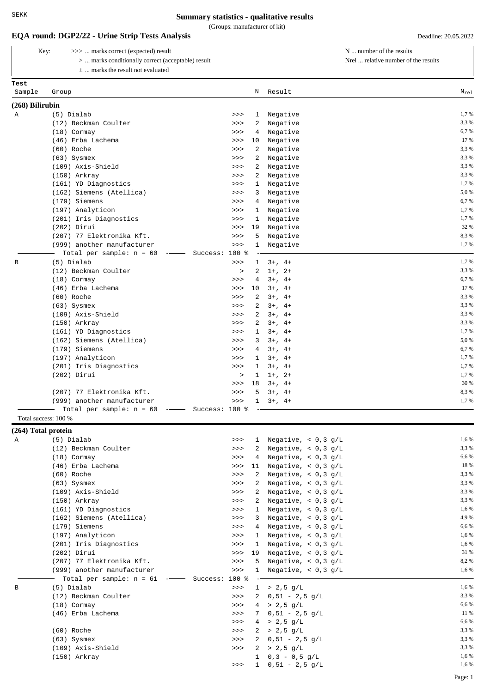(Groups: manufacturer of kit)

### **EQA round: DGP2/22 - Urine Strip Tests Analysis** Deadline: 20.05.2022

| Kev: | >>>  marks correct (expected) result                      |
|------|-----------------------------------------------------------|
|      | $> \dots$ marks conditionally correct (acceptable) result |
|      | $\pm$ marks the result not evaluated                      |

N ... number of the results

Nrel ... relative number of the results

|                     | $\pm$ marks the result not evaluated                   |                        |                                  |           |
|---------------------|--------------------------------------------------------|------------------------|----------------------------------|-----------|
| Test                |                                                        |                        |                                  |           |
| Sample              | Group                                                  | N                      | Result                           | $N_{rel}$ |
| $(268)$ Bilirubin   |                                                        |                        |                                  |           |
| Α                   | (5) Dialab                                             | $\mathbf{1}$<br>>>     | Negative                         | 1,7%      |
|                     | (12) Beckman Coulter                                   | 2<br>>>                | Negative                         | 3,3%      |
|                     | $(18)$ Cormay                                          | 4<br>>>                | Negative                         | 6,7%      |
|                     | (46) Erba Lachema                                      | 10<br>>>               | Negative                         | 17 %      |
|                     | (60) Roche                                             | 2<br>>>                | Negative                         | 3.3%      |
|                     | $(63)$ Sysmex                                          | 2<br>>>                | Negative                         | 3,3%      |
|                     | (109) Axis-Shield                                      | $\overline{a}$<br>>>   | Negative                         | 3,3%      |
|                     | (150) Arkray                                           | 2<br>>>                | Negative                         | 3,3%      |
|                     | (161) YD Diagnostics                                   | $\mathbf{1}$<br>>>     | Negative                         | 1,7%      |
|                     | (162) Siemens (Atellica)                               | 3<br>$>>>$             | Negative                         | 5,0%      |
|                     | (179) Siemens                                          | >><br>4                | Negative                         | 6,7%      |
|                     | (197) Analyticon                                       | $\mathbf{1}$<br>>>     | Negative                         | 1,7%      |
|                     | (201) Iris Diagnostics                                 | $\mathbf{1}$<br>>>     | Negative                         | 1,7%      |
|                     | $(202)$ Dirui                                          | 19<br>>>               | Negative                         | 32 %      |
|                     | (207) 77 Elektronika Kft.                              | 5<br>>>                | Negative                         | 8,3%      |
|                     | (999) another manufacturer                             | $\mathbf{1}$<br>>>     | Negative                         | 1,7%      |
|                     | Total per sample: $n = 60$<br>$\overline{\phantom{a}}$ | Success: 100 %         |                                  |           |
| B                   | (5) Dialab                                             | >><br>$\mathbf{1}$     | $3+, 4+$                         | 1,7%      |
|                     | (12) Beckman Coulter                                   | 2<br>$\geq$            | $1+, 2+$                         | 3,3%      |
|                     | $(18)$ Cormay                                          | 4<br>>>                | $3+$ , $4+$                      | 6,7%      |
|                     | (46) Erba Lachema                                      | 10<br>>>               | $3+, 4+$                         | 17 %      |
|                     | (60) Roche                                             | 2<br>>>                | $3+, 4+$                         | 3.3%      |
|                     | $(63)$ Sysmex                                          | 2<br>>>                | $3+, 4+$                         | 3.3%      |
|                     | (109) Axis-Shield                                      | $\overline{a}$<br>>>   | $3+, 4+$                         | 3,3%      |
|                     | (150) Arkray                                           | 2<br>>>                | $3+, 4+$                         | 3,3%      |
|                     | (161) YD Diagnostics                                   | $\mathbf{1}$<br>>>     | $3+, 4+$                         | 1,7%      |
|                     | (162) Siemens (Atellica)                               | 3<br>>>                | $3+, 4+$                         | 5,0%      |
|                     | (179) Siemens                                          | >><br>4                | $3+, 4+$                         | 6.7%      |
|                     | (197) Analyticon                                       | $\mathbf{1}$<br>>>     | $3+, 4+$                         | 1,7%      |
|                     | (201) Iris Diagnostics                                 | $\mathbf{1}$<br>>>     | $3+, 4+$                         | 1,7%      |
|                     | $(202)$ Dirui                                          | $\mathbf{1}$<br>$\geq$ | $1+, 2+$                         | 1,7%      |
|                     |                                                        | 18<br>>>               | $3+, 4+$                         | 30 %      |
|                     | (207) 77 Elektronika Kft.                              | 5<br>>>                | $3+, 4+$                         | 8,3%      |
|                     | (999) another manufacturer                             | $>>>$                  | $1 \t3+$ , $4+$                  | 1,7%      |
|                     | Total per sample: $n = 60$ -- Success: 100 %           |                        |                                  |           |
|                     | Total success: 100 %                                   |                        |                                  |           |
| (264) Total protein |                                                        |                        |                                  |           |
| Α                   | (5) Dialab                                             | $>>>$                  | 1 Negative, $< 0, 3 g/L$         | 1,6 %     |
|                     | $(12)$ Regimen Coulter                                 | $\sim$ $\sim$ $\sim$   | $2$ Negative $\geq 0.3 \sigma/T$ | 3306      |

|   | (12) Beckman Coulter                                                                                                                                                                                                                                                                                                                                                                                                                                                                       | >>     | 2              | Negative, $< 0.3$ g/L | 3.3 % |
|---|--------------------------------------------------------------------------------------------------------------------------------------------------------------------------------------------------------------------------------------------------------------------------------------------------------------------------------------------------------------------------------------------------------------------------------------------------------------------------------------------|--------|----------------|-----------------------|-------|
|   | $(18)$ Cormay                                                                                                                                                                                                                                                                                                                                                                                                                                                                              | >>     | $\overline{4}$ | Negative, $< 0.3$ g/L | 6,6 % |
|   | (46) Erba Lachema                                                                                                                                                                                                                                                                                                                                                                                                                                                                          | >>     | 11             | Negative, $< 0.3$ g/L | 18 %  |
|   | (60) Roche                                                                                                                                                                                                                                                                                                                                                                                                                                                                                 | >>     | 2              | Negative, $< 0.3$ g/L | 3,3 % |
|   | $(63)$ Sysmex                                                                                                                                                                                                                                                                                                                                                                                                                                                                              | >>     | 2              | Negative, $< 0.3$ g/L | 3,3 % |
|   | (109) Axis-Shield                                                                                                                                                                                                                                                                                                                                                                                                                                                                          | >>     | 2              | Negative, $< 0.3$ g/L | 3,3%  |
|   | $(150)$ Arkray                                                                                                                                                                                                                                                                                                                                                                                                                                                                             | >>     | 2              | Negative, $< 0.3$ g/L | 3,3 % |
|   | (161) YD Diagnostics                                                                                                                                                                                                                                                                                                                                                                                                                                                                       | >>     | -1.            | Negative, $< 0.3$ g/L | 1,6 % |
|   | (162) Siemens (Atellica)                                                                                                                                                                                                                                                                                                                                                                                                                                                                   | >>     | 3              | Negative, $< 0.3$ g/L | 4,9%  |
|   | (179) Siemens                                                                                                                                                                                                                                                                                                                                                                                                                                                                              | >>     | 4              | Negative, $< 0.3$ g/L | 6,6 % |
|   | (197) Analyticon                                                                                                                                                                                                                                                                                                                                                                                                                                                                           | >>     | 1              | Negative, $< 0.3$ g/L | 1,6%  |
|   | (201) Iris Diagnostics                                                                                                                                                                                                                                                                                                                                                                                                                                                                     | >>     | -1             | Negative, $< 0.3$ g/L | 1,6 % |
|   | (202) Dirui                                                                                                                                                                                                                                                                                                                                                                                                                                                                                | >>     | 19             | Negative, $< 0.3$ g/L | 31 %  |
|   | (207) 77 Elektronika Kft.                                                                                                                                                                                                                                                                                                                                                                                                                                                                  | >>     | -5             | Negative, $< 0.3$ g/L | 8,2%  |
|   | (999) another manufacturer                                                                                                                                                                                                                                                                                                                                                                                                                                                                 | >>     | -1.            | Negative, $< 0.3$ g/L | 1,6 % |
|   | Total per sample: $n = 61$<br>Success:<br>$\begin{tabular}{ccccc} \multicolumn{2}{c }{-} & \multicolumn{2}{c }{-} & \multicolumn{2}{c }{-} & \multicolumn{2}{c }{-} & \multicolumn{2}{c }{-} & \multicolumn{2}{c }{-} & \multicolumn{2}{c }{-} & \multicolumn{2}{c }{-} & \multicolumn{2}{c }{-} & \multicolumn{2}{c }{-} & \multicolumn{2}{c }{-} & \multicolumn{2}{c }{-} & \multicolumn{2}{c }{-} & \multicolumn{2}{c }{-} & \multicolumn{2}{c }{-} & \multicolumn{2}{c }{-} & \multic$ | $100*$ |                |                       |       |
| В | (5) Dialab                                                                                                                                                                                                                                                                                                                                                                                                                                                                                 | >>     |                | $1 > 2,5$ q/L         | 1,6 % |
|   | (12) Beckman Coulter                                                                                                                                                                                                                                                                                                                                                                                                                                                                       | >>     |                | $2 \t 0,51 - 2,5 g/L$ | 3.3 % |
|   | $(18)$ Cormay                                                                                                                                                                                                                                                                                                                                                                                                                                                                              | >>     |                | $4 > 2,5$ q/L         | 6,6 % |
|   | (46) Erba Lachema                                                                                                                                                                                                                                                                                                                                                                                                                                                                          | >>     | 7              | $0,51 - 2,5$ q/L      | 11 %  |
|   |                                                                                                                                                                                                                                                                                                                                                                                                                                                                                            | >>     |                | $4 > 2,5$ g/L         | 6,6 % |
|   | (60) Roche                                                                                                                                                                                                                                                                                                                                                                                                                                                                                 | >>     |                | $2 > 2,5$ g/L         | 3,3 % |
|   | $(63)$ Sysmex                                                                                                                                                                                                                                                                                                                                                                                                                                                                              | >>     |                | 2 $0.51 - 2.5$ q/L    | 3,3%  |
|   | (109) Axis-Shield                                                                                                                                                                                                                                                                                                                                                                                                                                                                          | >>     | 2              | $> 2,5$ q/L           | 3,3 % |
|   | $(150)$ Arkray                                                                                                                                                                                                                                                                                                                                                                                                                                                                             |        | -1.            | $0.3 - 0.5$ q/L       | 1,6 % |
|   |                                                                                                                                                                                                                                                                                                                                                                                                                                                                                            | >>     | $\mathbf{1}$   | $0,51 - 2,5$ g/L      | 1,6 % |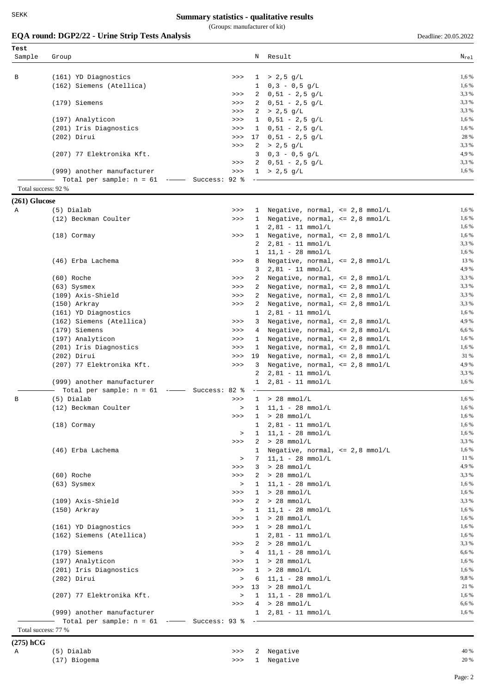(Groups: manufacturer of kit)

# **EQA round: DGP2/22 - Urine Strip Tests Analysis** Deadline: 20.05.2022

| В<br>Total success: 92 %<br>$(261)$ Glucose<br>(5) Dialab<br>Α<br>$(60)$ Roche<br>$(63)$ Sysmex<br>$(150)$ Arkray<br>$(202)$ Dirui<br>В<br>(5) Dialab<br>(60) Roche<br>$(63)$ Sysmex | (161) YD Diagnostics<br>(162) Siemens (Atellica)<br>(179) Siemens<br>(197) Analyticon<br>(201) Iris Diagnostics<br>$(202)$ Dirui<br>(207) 77 Elektronika Kft. | >><br>>><br>>><br>>><br>>><br>>><br>>> |              |              | $1 > 2,5$ g/L<br>$1 \t0, 3 - 0, 5 g/L$  | 1,6 %<br>1,6 % |
|--------------------------------------------------------------------------------------------------------------------------------------------------------------------------------------|---------------------------------------------------------------------------------------------------------------------------------------------------------------|----------------------------------------|--------------|--------------|-----------------------------------------|----------------|
|                                                                                                                                                                                      |                                                                                                                                                               |                                        |              |              |                                         |                |
|                                                                                                                                                                                      |                                                                                                                                                               |                                        |              |              |                                         |                |
|                                                                                                                                                                                      |                                                                                                                                                               |                                        |              |              |                                         |                |
|                                                                                                                                                                                      |                                                                                                                                                               |                                        |              |              | $2 \t0,51 - 2,5 g/L$                    | 3,3 %          |
|                                                                                                                                                                                      |                                                                                                                                                               |                                        |              |              | $2 \t 0,51 - 2,5 g/L$                   | 3,3 %          |
|                                                                                                                                                                                      |                                                                                                                                                               |                                        |              |              | $2 > 2,5$ g/L                           | 3,3 %          |
|                                                                                                                                                                                      |                                                                                                                                                               |                                        |              |              | $1 \t0,51 - 2,5 g/L$                    | 1,6 %          |
|                                                                                                                                                                                      |                                                                                                                                                               |                                        |              |              | $1 \t0,51 - 2,5 g/L$                    | 1,6 %          |
|                                                                                                                                                                                      |                                                                                                                                                               |                                        |              |              | $17 \t 0,51 - 2,5 \t q/L$               | 28 %           |
|                                                                                                                                                                                      |                                                                                                                                                               | >>                                     |              |              | $2 > 2,5$ g/L                           | 3,3 %          |
|                                                                                                                                                                                      |                                                                                                                                                               |                                        | 3            |              | $0,3 - 0,5$ g/L                         | 4,9%           |
|                                                                                                                                                                                      |                                                                                                                                                               | >>                                     |              |              | $2 \t 0,51 - 2,5 g/L$                   | 3,3 %          |
|                                                                                                                                                                                      |                                                                                                                                                               |                                        |              |              |                                         |                |
|                                                                                                                                                                                      | (999) another manufacturer                                                                                                                                    | >>                                     |              |              | $1 > 2,5$ g/L                           | 1,6 %          |
|                                                                                                                                                                                      | Total per sample: $n = 61$ -                                                                                                                                  | Success: 92 %                          |              |              |                                         |                |
|                                                                                                                                                                                      |                                                                                                                                                               |                                        |              |              |                                         |                |
|                                                                                                                                                                                      |                                                                                                                                                               |                                        |              |              |                                         |                |
|                                                                                                                                                                                      |                                                                                                                                                               | >>                                     |              | $\mathbf{1}$ | Negative, normal, $\leq$ 2,8 mmol/L     | 1,6 %          |
|                                                                                                                                                                                      | (12) Beckman Coulter                                                                                                                                          | >>                                     | $\mathbf{1}$ |              | Negative, normal, $\leq$ 2,8 mmol/L     | 1,6 %          |
|                                                                                                                                                                                      |                                                                                                                                                               |                                        |              | 1            | $2,81 - 11$ mmol/L                      | 1,6 %          |
|                                                                                                                                                                                      | $(18)$ Cormay                                                                                                                                                 | >>                                     |              |              | 1 Negative, normal, <= 2,8 mmol/L       | 1,6 %          |
|                                                                                                                                                                                      |                                                                                                                                                               |                                        | 2            |              | $2,81 - 11$ mmol/L                      | 3,3 %          |
|                                                                                                                                                                                      |                                                                                                                                                               |                                        | $\mathbf{1}$ |              | $11,1 - 28$ mmol/L                      | 1,6 %          |
|                                                                                                                                                                                      | (46) Erba Lachema                                                                                                                                             | >>                                     |              |              | 8 Negative, normal, <= 2,8 mmol/L       | 13 %           |
|                                                                                                                                                                                      |                                                                                                                                                               |                                        | 3            |              | $2,81 - 11$ mmol/L                      | 4,9%           |
|                                                                                                                                                                                      |                                                                                                                                                               | >>                                     |              | 2            | Negative, normal, $\leq$ 2,8 mmol/L     | 3,3 %          |
|                                                                                                                                                                                      |                                                                                                                                                               | >>                                     |              | 2            | Negative, normal, $\leq$ 2,8 mmol/L     | 3,3 %          |
|                                                                                                                                                                                      |                                                                                                                                                               |                                        |              | $\mathbf{2}$ |                                         | 3,3 %          |
|                                                                                                                                                                                      | (109) Axis-Shield                                                                                                                                             | >>                                     |              |              | Negative, normal, $\leq$ 2,8 mmol/L     |                |
|                                                                                                                                                                                      |                                                                                                                                                               | >>                                     |              | 2            | Negative, normal, $\leq$ 2,8 mmol/L     | 3,3 %          |
|                                                                                                                                                                                      | (161) YD Diagnostics                                                                                                                                          |                                        | $\mathbf{1}$ |              | $2,81 - 11$ mmol/L                      | 1,6 %          |
|                                                                                                                                                                                      | (162) Siemens (Atellica)                                                                                                                                      | >>                                     |              | 3            | Negative, normal, $\leq$ 2,8 mmol/L     | 4,9%           |
|                                                                                                                                                                                      | (179) Siemens                                                                                                                                                 | >>                                     |              |              | 4 Negative, normal, <= 2,8 mmol/L       | 6,6 %          |
|                                                                                                                                                                                      | (197) Analyticon                                                                                                                                              | >>                                     |              | $\mathbf{1}$ | Negative, normal, $\leq$ 2,8 mmol/L     | 1,6 %          |
|                                                                                                                                                                                      | (201) Iris Diagnostics                                                                                                                                        | >>                                     |              | $\mathbf{1}$ | Negative, normal, $\leq$ 2,8 mmol/L     | 1,6 %          |
|                                                                                                                                                                                      |                                                                                                                                                               | >>                                     | 19           |              | Negative, normal, $\leq$ 2,8 mmol/L     | 31 %           |
|                                                                                                                                                                                      | (207) 77 Elektronika Kft.                                                                                                                                     | >>                                     |              | $3^{\circ}$  | Negative, normal, $\leq$ 2,8 mmol/L     | 4,9%           |
|                                                                                                                                                                                      |                                                                                                                                                               |                                        |              |              |                                         | 3,3 %          |
|                                                                                                                                                                                      |                                                                                                                                                               |                                        | 2            |              | $2,81 - 11$ mmol/L                      |                |
|                                                                                                                                                                                      | (999) another manufacturer                                                                                                                                    |                                        | $\mathbf{1}$ |              | $2,81 - 11$ mmol/L                      | 1,6 %          |
|                                                                                                                                                                                      | Total per sample: $n = 61$                                                                                                                                    | --- Success: 82 %                      |              |              |                                         |                |
|                                                                                                                                                                                      |                                                                                                                                                               | >>                                     |              | $\mathbf{1}$ | $> 28$ mmol/L                           | 1,6 %          |
|                                                                                                                                                                                      | (12) Beckman Coulter                                                                                                                                          |                                        | $\geq$       |              | $1 \quad 11,1 - 28 \quad \text{mmol/L}$ | 1,6 %          |
|                                                                                                                                                                                      |                                                                                                                                                               | >>                                     |              |              | $> 28$ mmol/L                           | 1,6 %          |
|                                                                                                                                                                                      | $(18)$ Cormay                                                                                                                                                 |                                        | 1.           |              | $2,81 - 11$ mmol/L                      | 1,6 %          |
|                                                                                                                                                                                      |                                                                                                                                                               |                                        | $\geq$       |              | $1 \quad 11,1 - 28 \quad \text{mmol/L}$ | 1,6 %          |
|                                                                                                                                                                                      |                                                                                                                                                               | >>                                     |              |              | $2 > 28$ mmol/L                         | 3,3 %          |
|                                                                                                                                                                                      | (46) Erba Lachema                                                                                                                                             |                                        |              |              | 1 Negative, normal, <= 2,8 mmol/L       | 1,6 %          |
|                                                                                                                                                                                      |                                                                                                                                                               |                                        | $\geq$       |              | $7 \quad 11,1 - 28 \quad \text{mmol/L}$ | 11 %           |
|                                                                                                                                                                                      |                                                                                                                                                               | >>                                     |              |              | $3 > 28$ mmol/L                         | 4,9%           |
|                                                                                                                                                                                      |                                                                                                                                                               |                                        |              |              |                                         |                |
|                                                                                                                                                                                      |                                                                                                                                                               | >>                                     |              |              | $2 > 28$ mmol/L                         | 3,3 %          |
|                                                                                                                                                                                      |                                                                                                                                                               |                                        | $\geq$       |              | $1 \quad 11,1 - 28 \quad \text{mmol/L}$ | 1,6 %          |
|                                                                                                                                                                                      |                                                                                                                                                               | >>                                     |              |              | $1 > 28$ mmol/L                         | 1,6 %          |
|                                                                                                                                                                                      | (109) Axis-Shield                                                                                                                                             | >>                                     |              |              | $2 > 28$ mmol/L                         | 3,3 %          |
|                                                                                                                                                                                      | $(150)$ Arkray                                                                                                                                                |                                        | $\,>$        |              | $1 \quad 11.1 - 28 \quad \text{mmol/L}$ | 1,6 %          |
|                                                                                                                                                                                      |                                                                                                                                                               | >>                                     |              |              | $1 > 28$ mmol/L                         | 1,6 %          |
|                                                                                                                                                                                      | (161) YD Diagnostics                                                                                                                                          | >>                                     |              |              | $1 > 28$ mmol/L                         | 1,6 %          |
|                                                                                                                                                                                      | (162) Siemens (Atellica)                                                                                                                                      |                                        |              |              | $1 \quad 2,81 - 11 \quad \text{mmol/L}$ | 1,6 %          |
|                                                                                                                                                                                      |                                                                                                                                                               | >>                                     |              |              | $2 > 28$ mmol/L                         | 3,3 %          |
|                                                                                                                                                                                      | (179) Siemens                                                                                                                                                 |                                        | $\geq$       |              | $4$ 11,1 - 28 mmol/L                    | 6,6 %          |
|                                                                                                                                                                                      |                                                                                                                                                               |                                        |              |              |                                         | 1,6 %          |
|                                                                                                                                                                                      | (197) Analyticon                                                                                                                                              | >>                                     |              |              | $1 > 28$ mmol/L                         |                |
|                                                                                                                                                                                      | (201) Iris Diagnostics                                                                                                                                        | >>                                     |              |              | $1 > 28$ mmol/L                         | 1,6 %          |
|                                                                                                                                                                                      | (202) Dirui                                                                                                                                                   |                                        | $\geq$       |              | $6$ 11,1 - 28 mmol/L                    | 9,8%           |
|                                                                                                                                                                                      |                                                                                                                                                               | >>>                                    |              |              | $13 > 28$ mmol/L                        | 21 %           |
|                                                                                                                                                                                      | (207) 77 Elektronika Kft.                                                                                                                                     |                                        | $\, >$       |              | $1 \quad 11,1 - 28 \quad \text{mmol/L}$ | 1,6 %          |
|                                                                                                                                                                                      |                                                                                                                                                               | $>>>$                                  |              |              | $4 > 28$ mmol/L                         | 6,6 %          |
|                                                                                                                                                                                      | (999) another manufacturer                                                                                                                                    |                                        |              |              | $1 \quad 2,81 - 11 \quad \text{mmol/L}$ | 1,6 %          |
|                                                                                                                                                                                      |                                                                                                                                                               |                                        |              |              |                                         |                |

| $(275)$ hCG |              |                |      |
|-------------|--------------|----------------|------|
| A           | (5) Dialab   | >>> 2 Negative | 40 % |
|             | (17) Biogema | >>> 1 Negative | 20 % |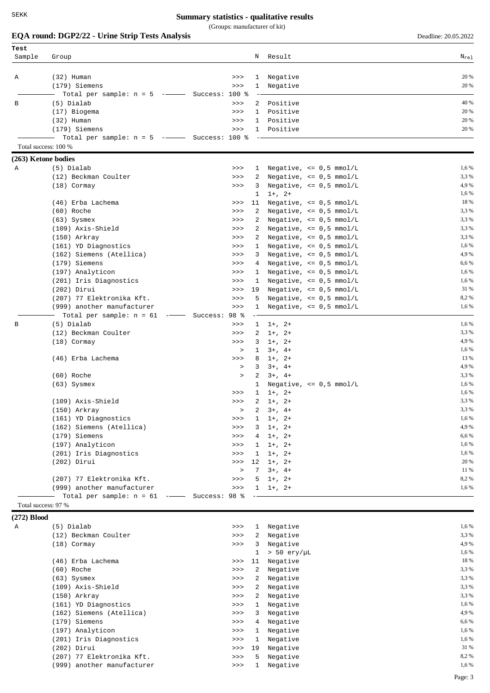(Groups: manufacturer of kit)

|                     | EQA round: DGP2/22 - Urine Strip Tests Analysis  |               |              |                                                            | Deadline: 20.05.2022 |
|---------------------|--------------------------------------------------|---------------|--------------|------------------------------------------------------------|----------------------|
| Test                |                                                  |               |              |                                                            |                      |
| Sample              | Group                                            |               | Ν            | Result                                                     | $N_{re1}$            |
| Α                   | $(32)$ Human                                     | >>            | 1            | Negative                                                   | 20 %                 |
|                     | (179) Siemens                                    | >>            | 1            | Negative                                                   | 20 %                 |
|                     | Total per sample: $n = 5$ --- Success: 100 %     |               |              |                                                            |                      |
| В                   | (5) Dialab                                       | >>            | 2            | Positive                                                   | 40 %                 |
|                     | (17) Biogema                                     | >>            | 1            | Positive                                                   | 20 %                 |
|                     | $(32)$ Human                                     | >>            | 1            | Positive                                                   | 20 %                 |
|                     | (179) Siemens                                    | >>            | $1 -$        | Positive                                                   | 20 %                 |
|                     | Total per sample: $n = 5$ --- Success: 100 %     |               |              |                                                            |                      |
|                     | Total success: 100 %                             |               |              |                                                            |                      |
| (263) Ketone bodies |                                                  |               |              |                                                            |                      |
| Α                   | (5) Dialab                                       | >>            | 1            | Negative, $\leq 0.5$ mmol/L                                | 1,6 %                |
|                     | (12) Beckman Coulter                             | >>            | 2            | Negative, $\leq 0.5$ mmol/L                                | 3,3 %                |
|                     | $(18)$ Cormay                                    | >>            | 3            | Negative, $\leq 0.5$ mmol/L                                | 4,9%                 |
|                     |                                                  |               | 1            | $1+, 2+$                                                   | 1,6 %                |
|                     | (46) Erba Lachema                                | >>            | 11           | Negative, $\leq 0.5$ mmol/L                                | 18 %                 |
|                     | (60) Roche                                       | >>            | 2            | Negative, $\leq 0.5$ mmol/L                                | 3,3 %                |
|                     | $(63)$ Sysmex                                    | >>            | $\mathbf{2}$ | Negative, $\leq 0.5$ mmol/L                                | 3,3 %<br>3,3%        |
|                     | (109) Axis-Shield                                | >>            | 2            | Negative, $\leq 0.5$ mmol/L                                | 3,3%                 |
|                     | (150) Arkray                                     | >>            | 2            | Negative, $\leq 0.5$ mmol/L                                | 1,6 %                |
|                     | (161) YD Diagnostics<br>(162) Siemens (Atellica) | >><br>>>      | 1<br>3       | Negative, $\leq 0.5$ mmol/L<br>Negative, $\leq 0.5$ mmol/L | 4,9%                 |
|                     | (179) Siemens                                    | >>            |              |                                                            | 6,6%                 |
|                     |                                                  | >>            | 4<br>1       | Negative, $\leq 0.5$ mmol/L                                | 1,6 %                |
|                     | (197) Analyticon<br>(201) Iris Diagnostics       | >>            | 1            | Negative, $\leq 0.5$ mmol/L<br>Negative, $\leq 0.5$ mmol/L | 1,6 %                |
|                     | (202) Dirui                                      | >>            | 19           | Negative, $\leq 0.5$ mmol/L                                | 31 %                 |
|                     | (207) 77 Elektronika Kft.                        | >>            | 5            | Negative, $\leq 0.5$ mmol/L                                | 8,2%                 |
|                     | (999) another manufacturer                       | >>            | 1            | Negative, $\leq 0.5$ mmol/L                                | 1,6 %                |
|                     | Total per sample: $n = 61$                       | Success: 98 % |              |                                                            |                      |
| В                   | (5) Dialab                                       | >>            | 1            | $1+, 2+$                                                   | 1,6 %                |
|                     | (12) Beckman Coulter                             | >>            | 2            | $1+, 2+$                                                   | 3,3 %                |
|                     | $(18)$ Cormay                                    | >>            | 3            | $1+, 2+$                                                   | 4,9 %                |
|                     |                                                  | $\geq$        | 1            | $3+, 4+$                                                   | 1,6 %                |
|                     | (46) Erba Lachema                                | >>            | 8            | $1+, 2+$                                                   | 13 %                 |
|                     |                                                  | $\geq$        | 3            | $3+, 4+$                                                   | 4,9%                 |
|                     | (60) Roche                                       | $\, >$        | 2            | $3+, 4+$                                                   | 3,3 %                |
|                     | $(63)$ Sysmex                                    |               | 1            | Negative, $\leq 0.5$ mmol/L                                | 1,6 %                |
|                     |                                                  | >>            | 1            | $1+, 2+$                                                   | 1,6 %                |
|                     | (109) Axis-Shield                                | >>            | 2            | $1+, 2+$                                                   | 3,3 %                |
|                     | (150) Arkray                                     | $\geq$        | 2            | $3+, 4+$                                                   | 3,3 %                |
|                     | (161) YD Diagnostics                             | >>            | 1            | $1+, 2+$                                                   | 1,6 %                |
|                     | (162) Siemens (Atellica)                         | >>            | 3            | $1+, 2+$                                                   | 4,9 %                |
|                     | (179) Siemens                                    | >>            | 4            | $1+, 2+$                                                   | 6,6 %                |
|                     | (197) Analyticon                                 | >>            | 1            | $1+, 2+$                                                   | 1,6 %                |
|                     | (201) Iris Diagnostics                           | >>            | 1            | $1+, 2+$                                                   | 1,6 %                |
|                     | (202) Dirui                                      | >>            | 12           | $1+, 2+$                                                   | 20 %                 |
|                     |                                                  | $\, >$        | 7            | $3+, 4+$                                                   | 11 %                 |
|                     | (207) 77 Elektronika Kft.                        | >>            | 5            | $1+, 2+$                                                   | 8,2%                 |
|                     | (999) another manufacturer                       | >>            | $1 -$        | $1+, 2+$                                                   | 1,6 %                |
| Total success: 97 % | Total per sample: $n = 61$ -- Success: 98 %      |               |              |                                                            |                      |
|                     |                                                  |               |              |                                                            |                      |
| $(272)$ Blood       | (5) Dialab                                       | >>            | 1            |                                                            | 1,6 %                |
| Α                   | (12) Beckman Coulter                             | >>            | 2            | Negative<br>Negative                                       | 3,3 %                |
|                     | $(18)$ Cormay                                    | >>            | 3            | Negative                                                   | 4,9 %                |
|                     |                                                  |               | 1            | $> 50$ ery/µL                                              | 1,6 %                |
|                     | (46) Erba Lachema                                | >>            | 11           | Negative                                                   | 18 %                 |
|                     | (60) Roche                                       | >>            | 2            | Negative                                                   | 3,3 %                |
|                     | $(63)$ Sysmex                                    | >>            | 2            | Negative                                                   | 3,3 %                |
|                     | (109) Axis-Shield                                | >>            | $\mathbf{2}$ | Negative                                                   | 3,3 %                |
|                     | (150) Arkray                                     | >>            | $\mathbf{2}$ | Negative                                                   | 3,3 %                |
|                     | (161) YD Diagnostics                             | >>            | 1            | Negative                                                   | 1,6 %                |
|                     | (162) Siemens (Atellica)                         | >>            | 3            | Negative                                                   | 4,9 %                |
|                     |                                                  |               |              |                                                            |                      |

(179) Siemens (197) (179) Siemens (197) (179) Siemens (197) (197) (197) (197) (197) (197) (1981) (1981) (1981) (1982) (1982) (1982) (1982) (1982) (1982) (1982) (1982) (1982) (1982) (1982) (1982) (1982) (1982) (1982) (1982) (197) Analyticon 1,6% (197) Analyticon 1,6 % (197) Analyticon 1,6 % (201) Iris Diagnostics (201)  $\frac{16\%}{16\%}$ (201) Iris Diagnostics (202) Islam (202) 2011 1.6% (202) 2.5 million (202) 2.5 million (202) 2.5 million (202) 2.5 million (202) 2.5 million (202) 2.5 million (202) 2.5 million (202) 2.5 million (202) 2.5 million (202) 2.5

(999) another manufacturer  $\sim$  >>> 1 Negative 1,6%

(207) 77 Elektronika Kft.

(202) Dirui >>> 19 Negative 31 %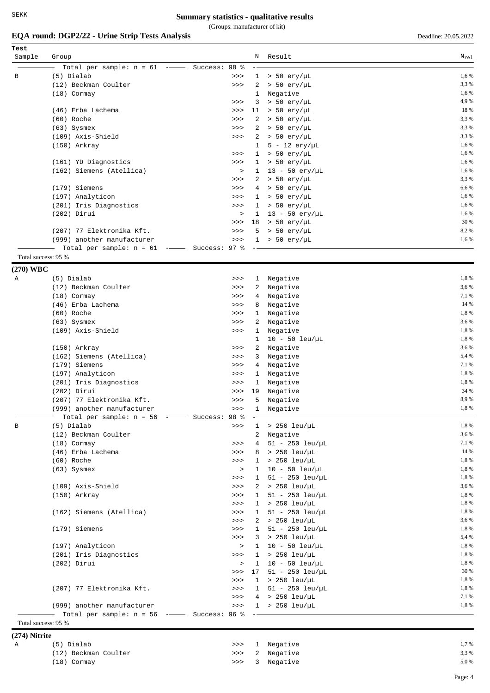(Groups: manufacturer of kit)

# **EQA round: DGP2/22 - Urine Strip Tests Analysis** Deadline: 20.05.2022

| Test<br>Sample | Group                                                     |                            | Ν               | Result                            | $N_{re1}$    |
|----------------|-----------------------------------------------------------|----------------------------|-----------------|-----------------------------------|--------------|
|                | Total per sample: $n = 61$ -                              |                            |                 |                                   |              |
| B              | (5) Dialab                                                | $-$ Success: 98 %<br>$>>>$ | $\mathbf{1}$    | $> 50$ ery/µL                     | 1,6 %        |
|                | (12) Beckman Coulter                                      | >>                         | 2               | $> 50$ ery/µL                     | 3,3 %        |
|                | (18) Cormay                                               |                            | 1               | Negative                          | 1,6 %        |
|                |                                                           | >>                         | 3               | $> 50$ ery/µL                     | 4,9%         |
|                | (46) Erba Lachema                                         | $>>>$                      | 11              | $> 50$ ery/µL                     | 18 %         |
|                | (60) Roche                                                | >>                         | 2               | $> 50$ ery/µL                     | 3,3 %        |
|                | $(63)$ Sysmex                                             | >>                         | 2               | > 50 ery/µL                       | 3,3 %        |
|                | (109) Axis-Shield                                         | >>                         | 2               | $> 50$ ery/µL                     | 3,3 %        |
|                | (150) Arkray                                              |                            | $\mathbf{1}$    | $5 - 12 \text{ery}/\mu L$         | 1,6%         |
|                |                                                           | >>                         | $\mathbf{1}$    | $> 50$ ery/µL                     | 1,6 %        |
|                | (161) YD Diagnostics                                      | >>                         |                 | $1 > 50$ ery/µL                   | 1,6 %        |
|                | (162) Siemens (Atellica)                                  | $\geq$                     | $\mathbf{1}$    | $13 - 50$ ery/µL                  | 1,6 %        |
|                |                                                           | >>                         |                 | $2 > 50$ ery/µL                   | 3,3 %        |
|                | (179) Siemens                                             | >>                         | $4\overline{ }$ | $> 50$ ery/µL                     | 6,6%         |
|                | (197) Analyticon                                          | >>                         |                 | $1 > 50$ ery/µL                   | 1,6 %        |
|                | (201) Iris Diagnostics                                    | >>                         | $\mathbf{1}$    | $> 50$ ery/µL                     | 1,6 %        |
|                | (202) Dirui                                               | $\, >$                     | $\mathbf{1}$    | $13 - 50 \text{ery/}\mu\text{L}$  | 1,6 %        |
|                |                                                           | >>                         | 18              | $> 50$ ery/µL                     | 30 %         |
|                | (207) 77 Elektronika Kft.                                 | >>                         | 5               | $> 50~{\rm erg/\mu L}$            | 8,2%         |
|                | (999) another manufacturer                                | >>                         | $\mathbf{1}$    | $> 50$ ery/µL                     | 1,6 %        |
|                | Total per sample: $n = 61$ -- Success: 97 %               |                            |                 |                                   |              |
|                | Total success: 95 %                                       |                            |                 |                                   |              |
| (270) WBC      |                                                           |                            |                 |                                   |              |
| Α              | (5) Dialab                                                | >>                         | $\mathbf{1}$    | Negative                          | 1,8%         |
|                | (12) Beckman Coulter                                      | >>                         | 2               | Negative                          | 3,6%         |
|                | (18) Cormay                                               | >>                         | 4               | Negative                          | 7,1 %        |
|                | (46) Erba Lachema                                         | >>                         | 8               | Negative                          | 14 %         |
|                | (60) Roche                                                | >>                         | 1               | Negative                          | 1,8%         |
|                | $(63)$ Sysmex                                             | >>                         | 2               | Negative                          | 3,6%         |
|                | (109) Axis-Shield                                         | $>>>$                      | $\mathbf{1}$    | Negative                          | 1,8%         |
|                |                                                           |                            | 1               | $10 - 50$ leu/µL                  | 1,8%         |
|                | (150) Arkray                                              | >>                         | 2               | Negative                          | 3,6 %        |
|                | (162) Siemens (Atellica)                                  | $>>>$                      | 3               | Negative                          | 5,4 %        |
|                | (179) Siemens                                             | >>                         | $4\overline{ }$ | Negative                          | 7,1 %        |
|                | (197) Analyticon                                          | >>                         | $\mathbf{1}$    | Negative                          | 1,8%         |
|                | (201) Iris Diagnostics                                    | >>                         | 1               | Negative                          | 1,8%         |
|                | $(202)$ Dirui                                             | >>                         | 19              | Negative                          | 34 %<br>8,9% |
|                | (207) 77 Elektronika Kft.                                 | >>                         | 5               | Negative                          | 1,8%         |
|                | (999) another manufacturer                                | >>                         | 1               | Negative                          |              |
| В              | Total per sample: $n = 56$ -- Success: 98 %<br>(5) Dialab | >>                         | $\mathbf{1}$    | $> 250$ leu/uL                    | 1,8%         |
|                | (12) Beckman Coulter                                      |                            | $\overline{a}$  | Negative                          | 3,6%         |
|                | $(18)$ Cormay                                             | >>                         | 4               | $51 - 250$ leu/µL                 | 7,1 %        |
|                | (46) Erba Lachema                                         | $>>>$                      | 8               | $> 250$ leu/uL                    | 14 %         |
|                | (60) Roche                                                | >>                         |                 | $1 > 250$ leu/µL                  | 1,8%         |
|                | $(63)$ Sysmex                                             | $\,>$                      | $\mathbf{1}$    | $10 - 50$ leu/µL                  | 1,8%         |
|                |                                                           | >>                         |                 | $1 \quad 51 - 250 \text{ leu/µL}$ | 1,8%         |
|                | (109) Axis-Shield                                         | $>>>$                      |                 | $2 > 250$ leu/µL                  | 3,6 %        |
|                | $(150)$ Arkray                                            | >>                         | 1               | $51 - 250$ leu/µL                 | 1,8%         |
|                |                                                           | $>>>$                      |                 | $1 > 250$ leu/µL                  | 1,8%         |
|                | (162) Siemens (Atellica)                                  | >>                         | $\mathbf{1}$    | $51 - 250$ leu/uL                 | 1,8%         |
|                |                                                           | $>>>$                      |                 | $2 > 250$ leu/µL                  | 3,6 %        |
|                | (179) Siemens                                             | $>>>$                      | 1               | $51 - 250$ leu/µL                 | 1,8%         |
|                |                                                           | >>                         | 3               | > 250 leu/µL                      | 5,4 %        |
|                | (197) Analyticon                                          | $\, > \,$                  | $\mathbf{1}$    | $10 - 50$ leu/µL                  | 1,8%         |
|                | (201) Iris Diagnostics                                    | $>>>$                      |                 | $1 > 250$ leu/µL                  | 1,8%         |
|                | $(202)$ Dirui                                             | $\, >$                     | $\mathbf{1}$    | $10 - 50$ leu/µL                  | 1,8%         |
|                |                                                           | $>>>$                      | 17              | $51 - 250$ leu/µL                 | 30 %         |
|                |                                                           | >>                         |                 | $1 > 250$ leu/µL                  | 1,8%         |
|                | (207) 77 Elektronika Kft.                                 | >>                         | $\mathbf{1}$    | $51 - 250$ leu/µL                 | 1,8%         |
|                |                                                           | $>>>$                      |                 | $4 > 250$ leu/µL                  | 7,1 %        |
|                | (999) another manufacturer                                | >>                         |                 | $1 > 250$ leu/µL                  | 1,8%         |
|                | Total per sample: $n = 56$ -- Success: 96 %               |                            |                 |                                   |              |
|                | Total success: 95 %                                       |                            |                 |                                   |              |

**(274) Nitrite**

| (5) Dialab           |  | >>> 1 Negative | 1,7%  |
|----------------------|--|----------------|-------|
| (12) Beckman Coulter |  | >>> 2 Negative | 3.3 % |
| (18) Cormay          |  | >>> 3 Negative | 5,0%  |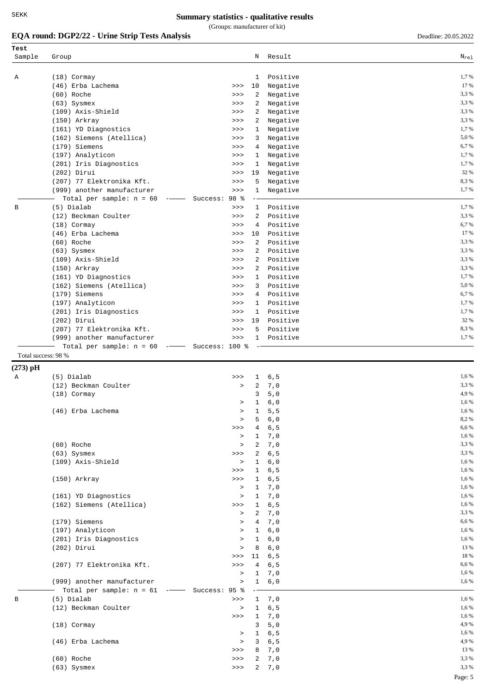(Groups: manufacturer of kit)

# **EQA round: DGP2/22 - Urine Strip Tests Analysis** Deadline: 20.05.2022

| Test                |                                             |                     |                   |                      |                   |
|---------------------|---------------------------------------------|---------------------|-------------------|----------------------|-------------------|
| Sample              | Group                                       |                     | Ν                 | Result               | $\rm N_{\rm rel}$ |
|                     |                                             |                     |                   |                      |                   |
| Α                   | $(18)$ Cormay                               |                     | $\mathbf{1}$      | Positive             | 1,7%              |
|                     | (46) Erba Lachema                           | >>                  | 10                | Negative             | 17 %              |
|                     | (60) Roche                                  | >>                  | 2                 | Negative             | 3,3 %             |
|                     | $(63)$ Sysmex                               | >>                  | 2                 | Negative             | 3,3 %             |
|                     | (109) Axis-Shield                           | >>                  | 2                 | Negative             | 3,3 %<br>3,3%     |
|                     | (150) Arkray<br>(161) YD Diagnostics        | >><br>>>            | 2<br>$\mathbf{1}$ | Negative<br>Negative | 1,7%              |
|                     | (162) Siemens (Atellica)                    | >>                  | 3                 | Negative             | 5,0%              |
|                     | (179) Siemens                               | >>                  | 4                 | Negative             | 6,7%              |
|                     | (197) Analyticon                            | >>                  | $\mathbf{1}$      | Negative             | 1,7%              |
|                     | (201) Iris Diagnostics                      | >>                  | 1                 | Negative             | 1,7%              |
|                     | $(202)$ Dirui                               | >>                  | 19                | Negative             | 32 %              |
|                     | (207) 77 Elektronika Kft.                   | >>                  | 5                 | Negative             | 8,3%              |
|                     | (999) another manufacturer                  | >>                  | $\mathbf{1}$      | Negative             | 1,7%              |
|                     | Total per sample: $n = 60$                  | Success: 98 %       |                   |                      |                   |
| B                   | (5) Dialab                                  | >>                  | $\mathbf{1}$      | Positive             | 1,7 %             |
|                     | (12) Beckman Coulter                        | >>                  | $\overline{2}$    | Positive             | 3,3 %             |
|                     | $(18)$ Cormay                               | >>                  | 4                 | Positive             | 6,7%              |
|                     | (46) Erba Lachema                           | >>                  | 10                | Positive             | 17 %              |
|                     | (60) Roche                                  | >>                  | $\overline{a}$    | Positive             | 3,3 %             |
|                     | $(63)$ Sysmex                               | >>                  | $\overline{2}$    | Positive             | 3,3%              |
|                     | (109) Axis-Shield                           | >>                  | 2                 | Positive             | 3,3%              |
|                     | $(150)$ Arkray                              | >>                  | $\overline{2}$    | Positive             | 3,3%              |
|                     | (161) YD Diagnostics                        | >>                  | $\mathbf{1}$      | Positive             | 1,7%              |
|                     | (162) Siemens (Atellica)                    | >>                  | 3                 | Positive             | 5,0%              |
|                     | (179) Siemens                               | >>                  | 4                 | Positive             | 6,7%              |
|                     | (197) Analyticon                            | >>                  | $\mathbf{1}$      | Positive             | 1,7%              |
|                     | (201) Iris Diagnostics                      | >>                  | $\mathbf{1}$      | Positive             | 1,7%              |
|                     | $(202)$ Dirui                               | >>                  | 19                | Positive             | 32 %              |
|                     | (207) 77 Elektronika Kft.                   | >>                  | 5                 | Positive             | 8,3%              |
|                     | (999) another manufacturer                  | >>                  | $\mathbf{1}$      | Positive             | 1,7%              |
| Total success: 98 % | Total per sample: $n = 60$                  | $--$ Success: 100 % |                   |                      |                   |
|                     |                                             |                     |                   |                      |                   |
| $(273)$ pH          |                                             |                     |                   |                      |                   |
| Α                   | (5) Dialab                                  | >>                  | 1                 | 6, 5                 | 1,6 %             |
|                     | (12) Beckman Coulter                        | $\,>$               | 2                 | 7,0                  | 3,3 %             |
|                     | $(18)$ Cormay                               |                     | 3                 | 5,0                  | 4,9%              |
|                     |                                             | $\, >$              | 1                 | 6,0                  | 1,6 %             |
|                     | (46) Erba Lachema                           | $\, > \,$           | 1<br>5            | 5, 5                 | 1,6%<br>8,2%      |
|                     |                                             | $\, >$<br>>>        | 4                 | $6,0$<br>6, 5        | 6,6 %             |
|                     |                                             | $\, >$              |                   | 1, 7, 0              | 1,6 %             |
|                     | (60) Roche                                  | $\geq$              |                   | 2, 7, 0              | 3,3 %             |
|                     | $(63)$ Sysmex                               | >>                  |                   | 2, 6, 5              | 3,3%              |
|                     | (109) Axis-Shield                           | $\,>$               |                   | 1, 6, 0              | 1,6 %             |
|                     |                                             | >>                  | 1                 | 6, 5                 | 1,6 %             |
|                     | (150) Arkray                                | >>                  |                   | 1, 6, 5              | 1,6 %             |
|                     |                                             | $\, >$              |                   | $1 \quad 7,0$        | 1,6 %             |
|                     | (161) YD Diagnostics                        | $\, >$              |                   | 1, 7, 0              | 1,6 %             |
|                     | (162) Siemens (Atellica)                    | >>                  | 1                 | 6, 5                 | 1,6 %             |
|                     |                                             | $\, >$              |                   | 2, 7, 0              | 3,3 %             |
|                     | (179) Siemens                               | $\, >$              |                   | 4 7,0                | 6,6%              |
|                     | (197) Analyticon                            | $\,>$               |                   | 1, 6, 0              | 1,6 %             |
|                     | (201) Iris Diagnostics                      | $\, >$              | 1                 | 6,0                  | 1,6 %             |
|                     | $(202)$ Dirui                               | $\, >$              | 8                 | 6,0                  | 13 %              |
|                     |                                             |                     | >>> 11            | 6, 5                 | 18 %              |
|                     | (207) 77 Elektronika Kft.                   | $>>>$               | $4\overline{ }$   | 6,5                  | 6,6%              |
|                     |                                             | $\geq$              |                   | 1, 7, 0              | 1,6 %             |
|                     | (999) another manufacturer                  | $\, >$              |                   | $1 \quad 6,0$        | 1,6 %             |
|                     | Total per sample: $n = 61$ -- Success: 95 % |                     |                   |                      |                   |
| В                   | (5) Dialab                                  | >>                  |                   | 1, 7, 0              | 1,6 %             |
|                     | (12) Beckman Coulter                        | $\, >$              | $\mathbf{1}$      | 6, 5                 | 1,6 %             |
|                     |                                             | >>                  |                   | 1, 7, 0              | 1,6 %             |
|                     | $(18)$ Cormay                               |                     | 3                 | 5,0                  | 4,9%              |
|                     |                                             | $\geq$              | 1                 | 6, 5                 | 1,6 %             |
|                     | (46) Erba Lachema                           | $\, >$              |                   | 3, 6, 5              | 4,9%<br>13 %      |
|                     |                                             | $>>>$               |                   | 8, 7, 0              | 3,3%              |
|                     | (60) Roche<br>$(63)$ Sysmex                 | >><br>>>            | 2                 | 7,0<br>2, 7, 0       | 3,3 %             |
|                     |                                             |                     |                   |                      |                   |